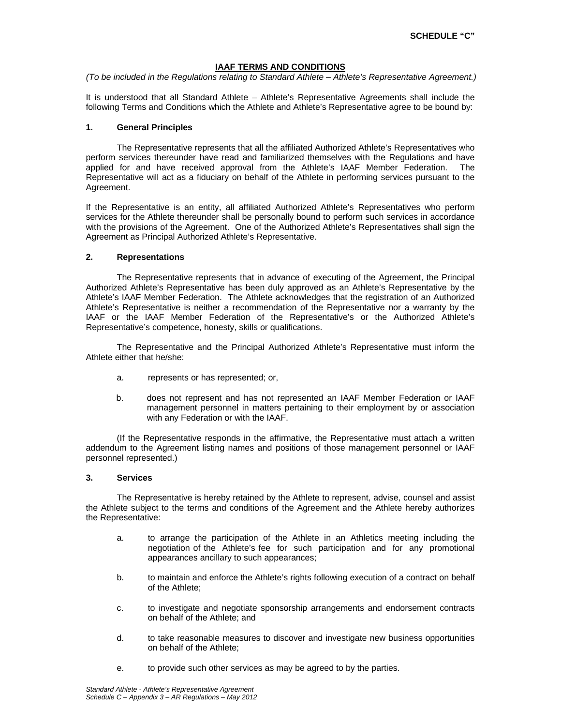### **IAAF TERMS AND CONDITIONS**

*(To be included in the Regulations relating to Standard Athlete – Athlete's Representative Agreement.)* 

It is understood that all Standard Athlete – Athlete's Representative Agreements shall include the following Terms and Conditions which the Athlete and Athlete's Representative agree to be bound by:

### **1. General Principles**

The Representative represents that all the affiliated Authorized Athlete's Representatives who perform services thereunder have read and familiarized themselves with the Regulations and have applied for and have received approval from the Athlete's IAAF Member Federation. The Representative will act as a fiduciary on behalf of the Athlete in performing services pursuant to the Agreement.

If the Representative is an entity, all affiliated Authorized Athlete's Representatives who perform services for the Athlete thereunder shall be personally bound to perform such services in accordance with the provisions of the Agreement. One of the Authorized Athlete's Representatives shall sign the Agreement as Principal Authorized Athlete's Representative.

## **2. Representations**

The Representative represents that in advance of executing of the Agreement, the Principal Authorized Athlete's Representative has been duly approved as an Athlete's Representative by the Athlete's IAAF Member Federation. The Athlete acknowledges that the registration of an Authorized Athlete's Representative is neither a recommendation of the Representative nor a warranty by the IAAF or the IAAF Member Federation of the Representative's or the Authorized Athlete's Representative's competence, honesty, skills or qualifications.

The Representative and the Principal Authorized Athlete's Representative must inform the Athlete either that he/she:

- a. represents or has represented; or,
- b. does not represent and has not represented an IAAF Member Federation or IAAF management personnel in matters pertaining to their employment by or association with any Federation or with the IAAF.

(If the Representative responds in the affirmative, the Representative must attach a written addendum to the Agreement listing names and positions of those management personnel or IAAF personnel represented.)

#### **3. Services**

The Representative is hereby retained by the Athlete to represent, advise, counsel and assist the Athlete subject to the terms and conditions of the Agreement and the Athlete hereby authorizes the Representative:

- a. to arrange the participation of the Athlete in an Athletics meeting including the negotiation of the Athlete's fee for such participation and for any promotional appearances ancillary to such appearances;
- b. to maintain and enforce the Athlete's rights following execution of a contract on behalf of the Athlete;
- c. to investigate and negotiate sponsorship arrangements and endorsement contracts on behalf of the Athlete; and
- d. to take reasonable measures to discover and investigate new business opportunities on behalf of the Athlete;
- e. to provide such other services as may be agreed to by the parties.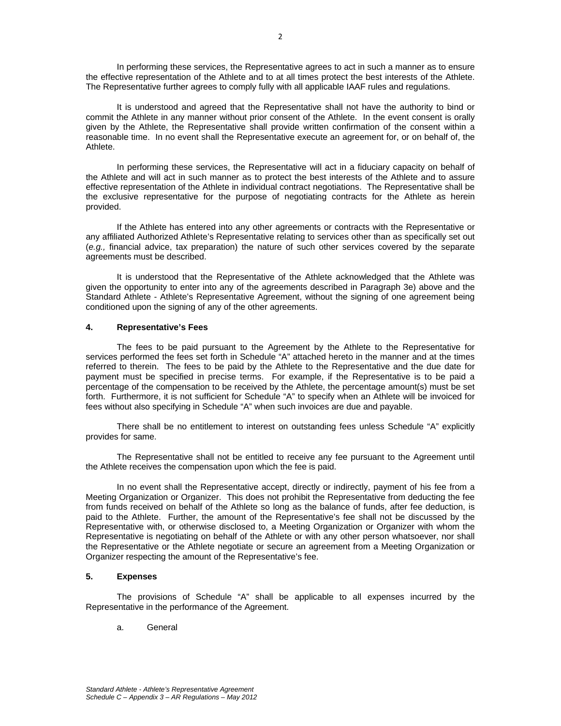In performing these services, the Representative agrees to act in such a manner as to ensure the effective representation of the Athlete and to at all times protect the best interests of the Athlete. The Representative further agrees to comply fully with all applicable IAAF rules and regulations.

It is understood and agreed that the Representative shall not have the authority to bind or commit the Athlete in any manner without prior consent of the Athlete. In the event consent is orally given by the Athlete, the Representative shall provide written confirmation of the consent within a reasonable time. In no event shall the Representative execute an agreement for, or on behalf of, the Athlete.

In performing these services, the Representative will act in a fiduciary capacity on behalf of the Athlete and will act in such manner as to protect the best interests of the Athlete and to assure effective representation of the Athlete in individual contract negotiations. The Representative shall be the exclusive representative for the purpose of negotiating contracts for the Athlete as herein provided.

If the Athlete has entered into any other agreements or contracts with the Representative or any affiliated Authorized Athlete's Representative relating to services other than as specifically set out (*e.g.,* financial advice, tax preparation) the nature of such other services covered by the separate agreements must be described.

It is understood that the Representative of the Athlete acknowledged that the Athlete was given the opportunity to enter into any of the agreements described in Paragraph 3e) above and the Standard Athlete - Athlete's Representative Agreement, without the signing of one agreement being conditioned upon the signing of any of the other agreements.

#### **4. Representative's Fees**

The fees to be paid pursuant to the Agreement by the Athlete to the Representative for services performed the fees set forth in Schedule "A" attached hereto in the manner and at the times referred to therein. The fees to be paid by the Athlete to the Representative and the due date for payment must be specified in precise terms. For example, if the Representative is to be paid a percentage of the compensation to be received by the Athlete, the percentage amount(s) must be set forth. Furthermore, it is not sufficient for Schedule "A" to specify when an Athlete will be invoiced for fees without also specifying in Schedule "A" when such invoices are due and payable.

There shall be no entitlement to interest on outstanding fees unless Schedule "A" explicitly provides for same.

The Representative shall not be entitled to receive any fee pursuant to the Agreement until the Athlete receives the compensation upon which the fee is paid.

In no event shall the Representative accept, directly or indirectly, payment of his fee from a Meeting Organization or Organizer. This does not prohibit the Representative from deducting the fee from funds received on behalf of the Athlete so long as the balance of funds, after fee deduction, is paid to the Athlete. Further, the amount of the Representative's fee shall not be discussed by the Representative with, or otherwise disclosed to, a Meeting Organization or Organizer with whom the Representative is negotiating on behalf of the Athlete or with any other person whatsoever, nor shall the Representative or the Athlete negotiate or secure an agreement from a Meeting Organization or Organizer respecting the amount of the Representative's fee.

#### **5. Expenses**

The provisions of Schedule "A" shall be applicable to all expenses incurred by the Representative in the performance of the Agreement.

a. General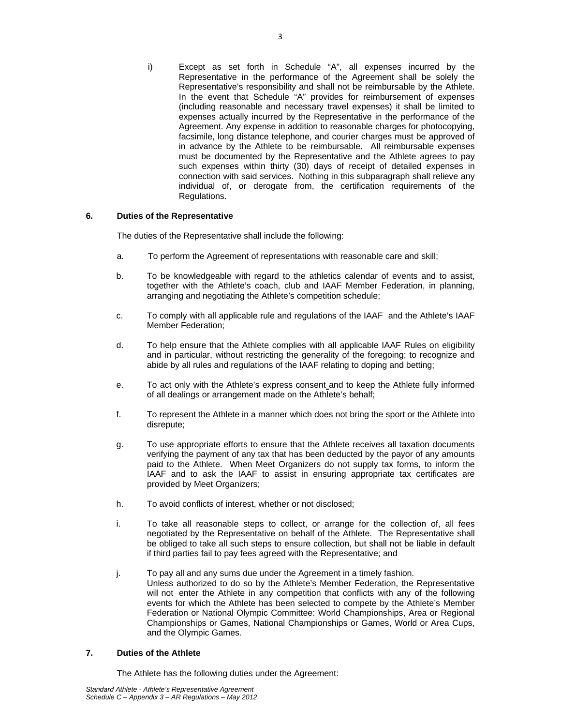i) Except as set forth in Schedule "A", all expenses incurred by the Representative in the performance of the Agreement shall be solely the Representative's responsibility and shall not be reimbursable by the Athlete. In the event that Schedule "A" provides for reimbursement of expenses (including reasonable and necessary travel expenses) it shall be limited to expenses actually incurred by the Representative in the performance of the Agreement. Any expense in addition to reasonable charges for photocopying, facsimile, long distance telephone, and courier charges must be approved of in advance by the Athlete to be reimbursable. All reimbursable expenses must be documented by the Representative and the Athlete agrees to pay such expenses within thirty (30) days of receipt of detailed expenses in connection with said services. Nothing in this subparagraph shall relieve any individual of, or derogate from, the certification requirements of the Regulations.

## **6. Duties of the Representative**

The duties of the Representative shall include the following:

- a. To perform the Agreement of representations with reasonable care and skill;
- b. To be knowledgeable with regard to the athletics calendar of events and to assist, together with the Athlete's coach, club and IAAF Member Federation, in planning, arranging and negotiating the Athlete's competition schedule;
- c. To comply with all applicable rule and regulations of the IAAF and the Athlete's IAAF Member Federation;
- d. To help ensure that the Athlete complies with all applicable IAAF Rules on eligibility and in particular, without restricting the generality of the foregoing; to recognize and abide by all rules and regulations of the IAAF relating to doping and betting;
- e. To act only with the Athlete's express consent and to keep the Athlete fully informed of all dealings or arrangement made on the Athlete's behalf;
- f. To represent the Athlete in a manner which does not bring the sport or the Athlete into disrepute;
- g. To use appropriate efforts to ensure that the Athlete receives all taxation documents verifying the payment of any tax that has been deducted by the payor of any amounts paid to the Athlete. When Meet Organizers do not supply tax forms, to inform the IAAF and to ask the IAAF to assist in ensuring appropriate tax certificates are provided by Meet Organizers;
- h. To avoid conflicts of interest, whether or not disclosed;
- i. To take all reasonable steps to collect, or arrange for the collection of, all fees negotiated by the Representative on behalf of the Athlete. The Representative shall be obliged to take all such steps to ensure collection, but shall not be liable in default if third parties fail to pay fees agreed with the Representative; and
- j. To pay all and any sums due under the Agreement in a timely fashion. Unless authorized to do so by the Athlete's Member Federation, the Representative will not enter the Athlete in any competition that conflicts with any of the following events for which the Athlete has been selected to compete by the Athlete's Member Federation or National Olympic Committee: World Championships, Area or Regional Championships or Games, National Championships or Games, World or Area Cups, and the Olympic Games.

#### **7. Duties of the Athlete**

The Athlete has the following duties under the Agreement: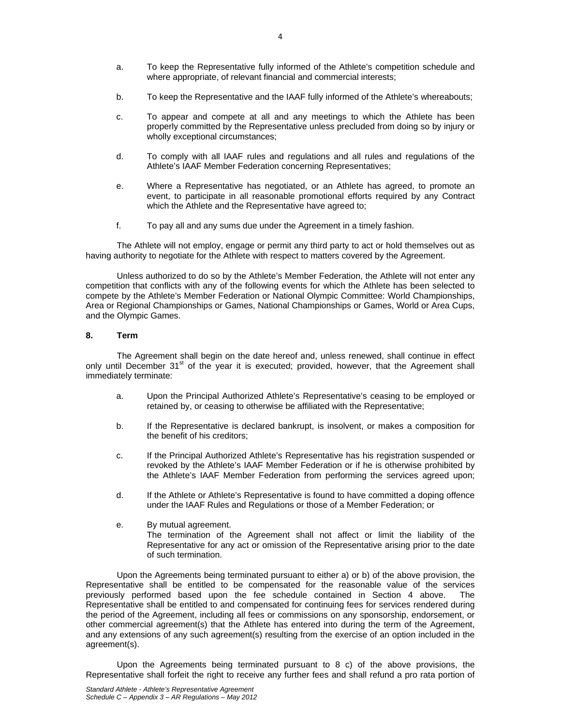- a. To keep the Representative fully informed of the Athlete's competition schedule and where appropriate, of relevant financial and commercial interests;
- b. To keep the Representative and the IAAF fully informed of the Athlete's whereabouts;
- c. To appear and compete at all and any meetings to which the Athlete has been properly committed by the Representative unless precluded from doing so by injury or wholly exceptional circumstances;
- d. To comply with all IAAF rules and regulations and all rules and regulations of the Athlete's IAAF Member Federation concerning Representatives;
- e. Where a Representative has negotiated, or an Athlete has agreed, to promote an event, to participate in all reasonable promotional efforts required by any Contract which the Athlete and the Representative have agreed to;
- f. To pay all and any sums due under the Agreement in a timely fashion.

The Athlete will not employ, engage or permit any third party to act or hold themselves out as having authority to negotiate for the Athlete with respect to matters covered by the Agreement.

Unless authorized to do so by the Athlete's Member Federation, the Athlete will not enter any competition that conflicts with any of the following events for which the Athlete has been selected to compete by the Athlete's Member Federation or National Olympic Committee: World Championships, Area or Regional Championships or Games, National Championships or Games, World or Area Cups, and the Olympic Games.

#### **8. Term**

The Agreement shall begin on the date hereof and, unless renewed, shall continue in effect only until December  $31<sup>st</sup>$  of the year it is executed; provided, however, that the Agreement shall immediately terminate:

- a. Upon the Principal Authorized Athlete's Representative's ceasing to be employed or retained by, or ceasing to otherwise be affiliated with the Representative;
- b. If the Representative is declared bankrupt, is insolvent, or makes a composition for the benefit of his creditors;
- c. If the Principal Authorized Athlete's Representative has his registration suspended or revoked by the Athlete's IAAF Member Federation or if he is otherwise prohibited by the Athlete's IAAF Member Federation from performing the services agreed upon;
- d. If the Athlete or Athlete's Representative is found to have committed a doping offence under the IAAF Rules and Regulations or those of a Member Federation; or
- e. By mutual agreement. The termination of the Agreement shall not affect or limit the liability of the Representative for any act or omission of the Representative arising prior to the date of such termination.

Upon the Agreements being terminated pursuant to either a) or b) of the above provision, the Representative shall be entitled to be compensated for the reasonable value of the services previously performed based upon the fee schedule contained in Section 4 above. The Representative shall be entitled to and compensated for continuing fees for services rendered during the period of the Agreement, including all fees or commissions on any sponsorship, endorsement, or other commercial agreement(s) that the Athlete has entered into during the term of the Agreement, and any extensions of any such agreement(s) resulting from the exercise of an option included in the agreement(s).

Upon the Agreements being terminated pursuant to  $8$  c) of the above provisions, the Representative shall forfeit the right to receive any further fees and shall refund a pro rata portion of